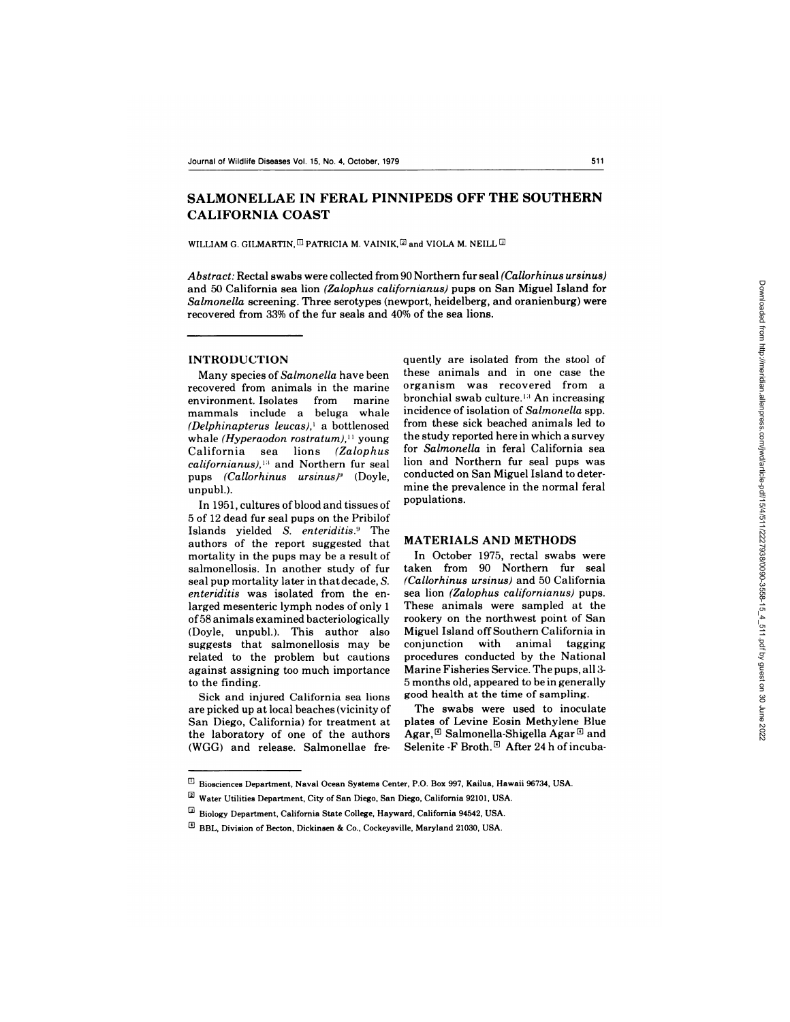# **SALMONELLAE IN FERAL PINNIPEDS OFF THE SOUTHERN CALIFORNIA COAST**

WILLIAM G. GILMARTIN,  $\Box$  PATRICIA M. VAINIK,  $\Box$  and VIOLA M. NEILL  $\Box$ 

*Abstract:* Rectal swabs were collected from 90 Northern fur seal *(Callorhinus ursinus)* and 50 California sea lion *(Zalophus californianus)* pups on San Miguel Island for *Salmonella* screening. Three serotypes (newport, heidelberg, and oranienburg) were recovered from 33% of the fur seals and 40% of the sea lions.

#### **INTRODUCTION**

Many species of *Salmonella* have been recovered from animals in the marine environment. Isolates from marine mammals include a beluga whale *(Delphinapterus leucas),'* a bottlenosed whale *(Hyperaodon rostratum),"* young California sea lions *(Zalophus californianus),''* and Northern fur seal pups *(Callorhinus ursinus)* (Doyle, unpubl.).

In 1951, cultures of blood and tissues of 5 of12 dead fur seal pups on the Pribilof Islands yielded *S. enteriditis."* The authors of the report suggested that mortality in the pups may be a result of salmonellosis. In another study of fur seal pup mortality later in that decade, *S. enteriditis* was isolated from the enlarged mesenteric lymph nodes of only 1 of 58 animals examined bacteriologically (Doyle, unpubl.). This author also suggests that salmonellosis may be related to the problem but cautions against assigning too much importance **to** the finding.

Sick and injured California sea lions are picked up at local beaches (vicinity of San Diego, California) for treatment at the laboratory of one of the authors (WGG) and release. Salmonellae frequently are isolated from the stool of these animals and in one case the organism was recovered from a bronchial swab culture.<sup>13</sup> An increasing incidence of isolation of *Salmonella* spp. from these sick beached animals led to the study reported here in which a survey for *Salmonella* in feral California sea lion and Northern fur seal pups was conducted on San Miguel Island to determine the prevalence in the normal feral populations.

## **MATERIALS AND METHODS**

In October 1975, rectal swabs were taken from 90 Northern fur seal *(Callorhinus ursinus)* and 50 California sea lion *(Zalophus californianus)* pups. These animals were sampled at the rookery on the northwest point of San Miguel Island off Southern California in conjunction with animal tagging procedures conducted by the National Marine Fisheries Service. The pups, all 3- 5 months old, appeared to be in generally good health at the time of sampling.

The swabs were used to inoculate plates of Levine Eosin Methylene Blue Agar,  $\mathbb{G}$  Salmonella-Shigella Agar  $\mathbb{G}$  and Selenite -F Broth. $E$  After 24 h of incuba-

 $^{\rm 1D}$  Biosciences Department, Naval Ocean Systems Center, P.O. Box 997, Kailua, Hawaii 96734, USA.

 $2$  Water Utilities Department, City of San Diego, San Diego, California 92101, USA.

 $\Box$  Biology Department, California State College, Hayward, California 94542, USA.

W BBL, Division of Becton, Dickinsen & Co., Cockeysville, Maryland 21030, USA.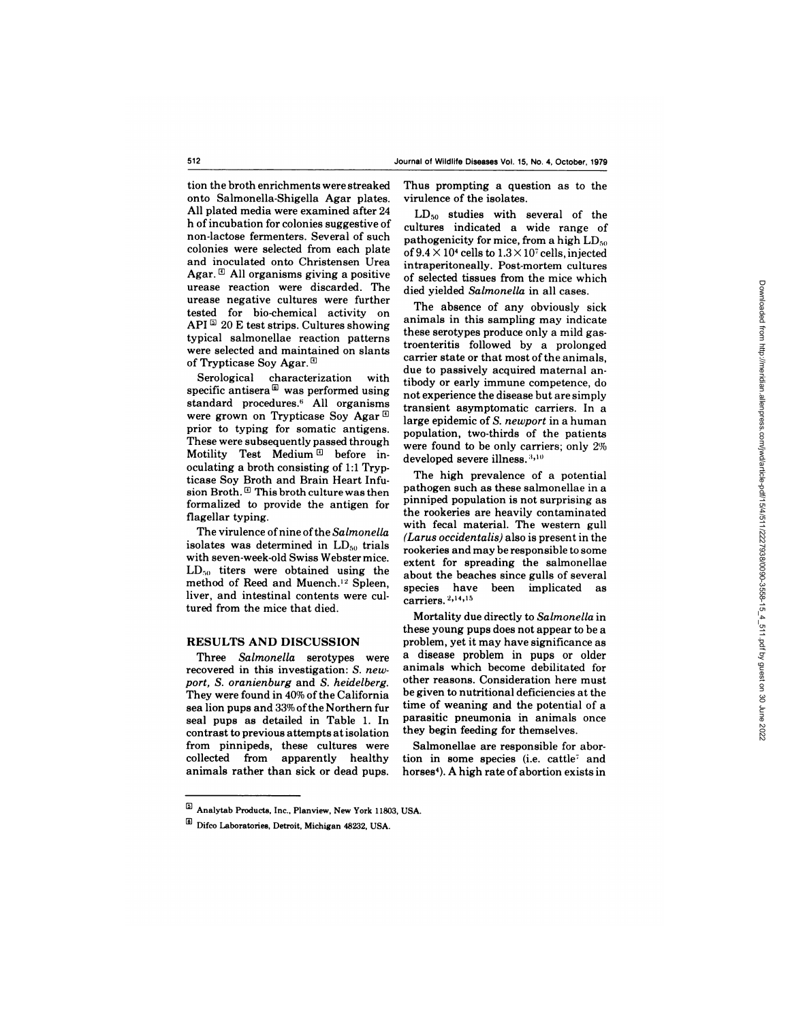tion the broth enrichments were streaked onto Salmonella-Shigella Agar plates. All plated media were examined after 24 h of incubation for colonies suggestive of non-lactose fermenters. Several of such colonies were selected from each plate and inoculated onto Christensen Urea Agar.  $\mathbb{E}$  All organisms giving a positive urease reaction were discarded. The urease negative cultures were further tested for bio-chemical activity on API $\overline{a}$  20 E test strips. Cultures showing typical salmonellae reaction patterns were selected and maintained on slants of Trypticase Soy Agar.<sup>[9]</sup>

Serological characterization with specific antisera<sup>®</sup> was performed using standard procedures.6 All organisms were grown on Trypticase Soy Agar $\mathbb{G}$ prior to typing for somatic antigens. These were subsequently passed through Motility Test Medium  $\mathbb{D}$  before inoculating a broth consisting of 1:1 Trypticase Soy Broth and Brain Heart Infusion Broth.  $\mathbb{G}$  This broth culture was then formalized to provide the antigen for flagellar typing.

The virulence of nine of the *Salmonella* isolates was determined in  $LD_{50}$  trials with seven-week-old Swiss Webster mice.  $LD_{50}$  titers were obtained using the method of Reed and Muench.'2 Spleen, liver, and intestinal contents were cultured from the mice that died.

#### **RESULTS AND DISCUSSION**

Three *Salmonella* serotypes were recovered in this investigation: *S. new port, S. oranienburg* and *S. heidelberg.* They were found in 40% of the California sea lion pups and 33% of the Northern fur seal pups as detailed in Table 1. In contrast to previous attempts at isolation from pinnipeds, these cultures were collected from apparently healthy animals rather than sick or dead pups. Thus prompting a question as to the virulence of the isolates.

 $LD_{50}$  studies with several of the cultures indicated a wide range of pathogenicity for mice, from a high  $LD_{50}$ of  $9.4 \times 10^4$  cells to  $1.3 \times 10^7$  cells, injected intraperitoneally. Post-mortem cultures of selected tissues from themice which died vielded *Salmonella* in all cases.

The absence of any obviously sick animals in this sampling may indicate these serotypes produce only a mild gastroenteritis followed by a prolonged carrier state or that most of the animals, due to passively acquired maternal antibody or early immune competence, do not experience the disease but are simply transient asymptomatic carriers. In a large epidemic of *S. newport* in a human population, two-thirds of the patients were found to be only carriers; only 2% developed severe illness. 3,10

The high prevalence of a potential pathogen such as these salmonellae in a pinniped population is not surprising as the rookeries are heavily contaminated with fecal material. The western gull *(Larus occidentalis)* also is present in the rookeries and may be responsible to some extent for spreading the salmonellae about the beaches since gulls of several species have been implicated as carriers. 2,14,15

Mortality due directly to *Salmonella* in these young pups does not appear to be a problem, yet it may have significance as a disease problem in pups or older animals which become debilitated for other reasons. Consideration here must be given to nutritional deficiencies at the time of weaning and the potential of a parasitic pneumonia in animals once they begin feeding for themselves.

Salmonellae are responsible for abortion in some species (i.e. cattle<sup>7</sup> and horses4). A high rate of abortion exists in

B Analytab Products, Inc., Planview, New York 11803, USA.

Difco Laboratories, Detroit, Michigan 48232, USA.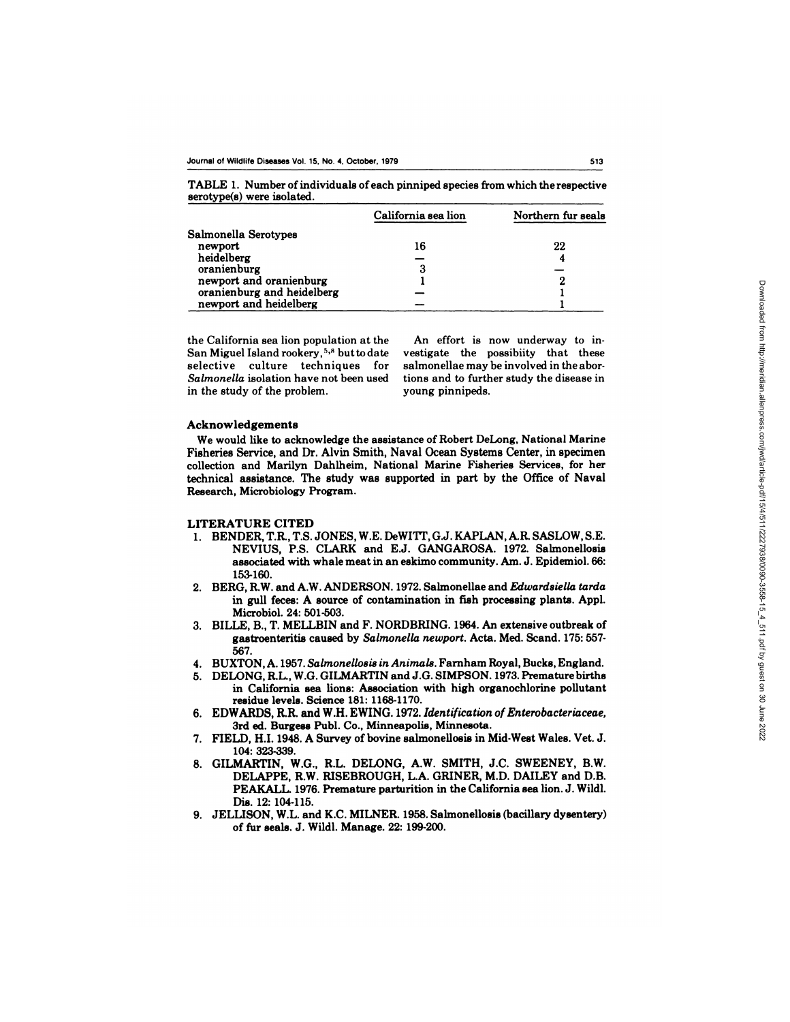TABLE 1.Number of individuals of each pinniped species from which the respective serotype(s) were isolated.

|                            | California sea lion | Northern fur seals |
|----------------------------|---------------------|--------------------|
| Salmonella Serotypes       |                     |                    |
| newport                    | 16                  | 22                 |
| heidelberg                 |                     | 4                  |
| oranienburg                | З                   |                    |
| newport and oranienburg    |                     |                    |
| oranienburg and heidelberg |                     |                    |
| newport and heidelberg     |                     |                    |

San Miguel Island rookery,<sup>5,8</sup> but to date vestigate the possibiity that these selective culture techniques for salmonellae may be involved in the abor-*Salmonella* isolation have not been used tions and to further study the disease in in the study of the problem. young pinnipeds.

the California sea lion population at the An effort is now underway to in-

#### **Acknowledgements**

We would like to acknowledge the assistance of Robert DeLong, National Marine Fisheries Service, and Dr. Alvin Smith, Naval Ocean Systems Center, in specimen collection and Marilyn Dahlheim, National Marine Fisheries Services, for her technical assistance. The study was supported in part by the Office of Naval Research, Microbiology Program.

### **LITERATURE CITED**

- 1. BENDER, T.R., T.S. JONES, W.E. DeWITT, G.J. KAPLAN, A.R. SASLOW, S.E. NEVIUS, P.S. CLARK and E.J. GANGAROSA. 1972. Salmonellosis associated with whale meat in an eskimo community. Am. J. Epidemiol. 66: 153-160.
- 2. BERG, RW. and A.W. ANDERSON. 1972. Salmonellae and *Edwardsiella tarda* in gull feces: A source of contamination in fish processing plants. **Appl.** Microbiol. 24: 501-503.
- 3. BILLE, B., T. MELLBIN and F. NORDBRING. 1964. An extensive outbreak of gastroenteritis caused **by** *Salmonella newport.* **Acta. Med. Scand. 175:557-** 567.
- 4. BUXTON, A. 1957. *Salmonellosis in Animals.* Farnham Royal, **Bucks,** England.
- 5. DELONG, R.L, W.G. GILMARTIN and J.G. SIMPSON. 1973. Premature births **in** California sea lions: Association with high organochlorine pollutant residue levels. Science 181: 1168-1170.
- **6. EDWARDS, R.R.** and W.H. EWING. 1972. *Identification of Enterobacteriaceae,* **3rd ed.** Burgess Publ. **Co.,** Minneapolis, Minnesota.
- 7. FIELD, **H.I.** 1948. A Survey of bovine salmonellosis in Mid-West Wales. Vet. J. 104: 323-339.
- 8. GILMARTIN, **W.G., R.L. DELONG, A.W. SMITH, J.C. SWEENEY, B.W.** DELAPPE, **R.W. RISEBROUGH, LA. GRINER, M.D. DAILEY and D.B.** PEAKALL 1976. Premature parturition **in the** California sea lion. J. Wildl. Dis. 12: 104-115.
- **9. JELLISON, W.L and K.C. MILNER. 1958. Salmonellosis (bacillary dysentery) of** fur seals. **J. Wildl. Manage. 22: 199-200.**